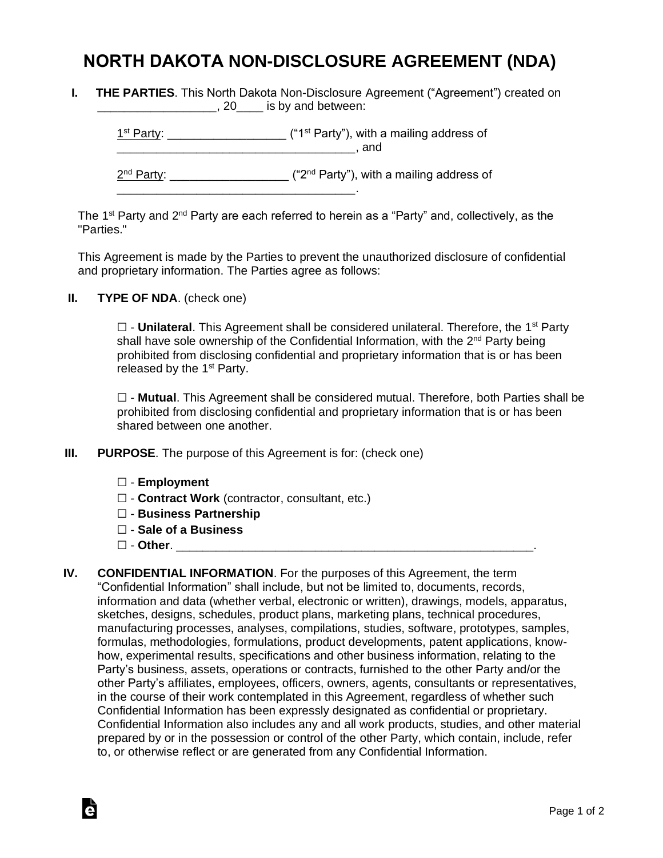## **NORTH DAKOTA NON-DISCLOSURE AGREEMENT (NDA)**

**I. THE PARTIES**. This North Dakota Non-Disclosure Agreement ("Agreement") created on **EXECUTE:** 120 Set 20 Set 30 Set 30 Set 30 Set 30 Set 30 Set 30 Set 30 Set 30 Set 30 Set 30 Set 30 Set 30 Set 30 Set 30 Set 30 Set 30 Set 30 Set 30 Set 30 Set 30 Set 30 Set 30 Set 30 Set 30 Set 30 Set 30 Set 30 Set 30 Set

 $1<sup>st</sup> Party: _______$  $\blacksquare$  and 2<sup>nd</sup> Party: \_\_\_\_\_\_\_\_\_\_\_\_\_\_\_\_\_\_\_\_ ("2<sup>nd</sup> Party"), with a mailing address of \_\_\_\_\_\_\_\_\_\_\_\_\_\_\_\_\_\_\_\_\_\_\_\_\_\_\_\_\_\_\_\_\_\_\_\_.

The 1<sup>st</sup> Party and 2<sup>nd</sup> Party are each referred to herein as a "Party" and, collectively, as the "Parties."

This Agreement is made by the Parties to prevent the unauthorized disclosure of confidential and proprietary information. The Parties agree as follows:

**II. TYPE OF NDA**. (check one)

□ - **Unilateral**. This Agreement shall be considered unilateral. Therefore, the 1<sup>st</sup> Party shall have sole ownership of the Confidential Information, with the 2<sup>nd</sup> Party being prohibited from disclosing confidential and proprietary information that is or has been released by the  $1<sup>st</sup>$  Party.

☐ - **Mutual**. This Agreement shall be considered mutual. Therefore, both Parties shall be prohibited from disclosing confidential and proprietary information that is or has been shared between one another.

- **III. PURPOSE**. The purpose of this Agreement is for: (check one)
	- ☐ **Employment**
	- ☐ **Contract Work** (contractor, consultant, etc.)
	- ☐ **Business Partnership**
	- ☐ **Sale of a Business**
	- ☐ **Other**. \_\_\_\_\_\_\_\_\_\_\_\_\_\_\_\_\_\_\_\_\_\_\_\_\_\_\_\_\_\_\_\_\_\_\_\_\_\_\_\_\_\_\_\_\_\_\_\_\_\_\_\_\_\_.

Ġ

**IV. CONFIDENTIAL INFORMATION**. For the purposes of this Agreement, the term "Confidential Information" shall include, but not be limited to, documents, records, information and data (whether verbal, electronic or written), drawings, models, apparatus, sketches, designs, schedules, product plans, marketing plans, technical procedures, manufacturing processes, analyses, compilations, studies, software, prototypes, samples, formulas, methodologies, formulations, product developments, patent applications, knowhow, experimental results, specifications and other business information, relating to the Party's business, assets, operations or contracts, furnished to the other Party and/or the other Party's affiliates, employees, officers, owners, agents, consultants or representatives, in the course of their work contemplated in this Agreement, regardless of whether such Confidential Information has been expressly designated as confidential or proprietary. Confidential Information also includes any and all work products, studies, and other material prepared by or in the possession or control of the other Party, which contain, include, refer to, or otherwise reflect or are generated from any Confidential Information.